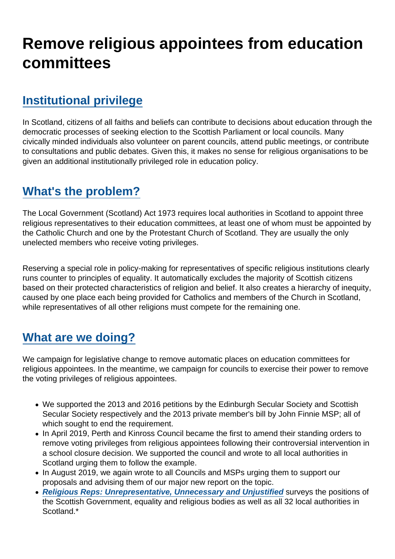# Remove religious appointees from education committees

# [Institutional privilege](https://www.secularism.org.uk/religiousappointees/#e-202192-a)

In Scotland, citizens of all faiths and beliefs can contribute to decisions about education through the democratic processes of seeking election to the Scottish Parliament or local councils. Many civically minded individuals also volunteer on parent councils, attend public meetings, or contribute to consultations and public debates. Given this, it makes no sense for religious organisations to be given an additional institutionally privileged role in education policy.

# [What's the problem?](https://www.secularism.org.uk/religiousappointees/#e-202193-a)

The Local Government (Scotland) Act 1973 requires local authorities in Scotland to appoint three religious representatives to their education committees, at least one of whom must be appointed by the Catholic Church and one by the Protestant Church of Scotland. They are usually the only unelected members who receive voting privileges.

Reserving a special role in policy-making for representatives of specific religious institutions clearly runs counter to principles of equality. It automatically excludes the majority of Scottish citizens based on their protected characteristics of religion and belief. It also creates a hierarchy of inequity, caused by one place each being provided for Catholics and members of the Church in Scotland, while representatives of all other religions must compete for the remaining one.

# [What are we doing?](https://www.secularism.org.uk/religiousappointees/#e-202194-a)

We campaign for legislative change to remove automatic places on education committees for religious appointees. In the meantime, we campaign for councils to exercise their power to remove the voting privileges of religious appointees.

- We supported the 2013 and 2016 petitions by the Edinburgh Secular Society and Scottish Secular Society respectively and the 2013 private member's bill by John Finnie MSP; all of which sought to end the requirement.
- In April 2019, Perth and Kinross Council became the first to amend their standing orders to remove voting privileges from religious appointees following their controversial intervention in a school closure decision. We supported the council and wrote to all local authorities in Scotland urging them to follow the example.
- In August 2019, we again wrote to all Councils and MSPs urging them to support our proposals and advising them of our major new report on the topic.
- [Religious Reps: Unrepresentative, Unnecessary and Unjustified](https://www.secularism.org.uk/uploads/religious-reps-unrepresentative-unnecessary-and-unjustified.pdf) surveys the positions of the Scottish Government, equality and religious bodies as well as all 32 local authorities in Scotland.\*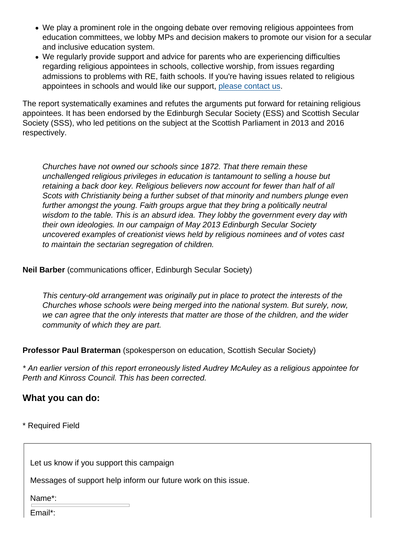- We play a prominent role in the ongoing debate over removing religious appointees from education committees, we lobby MPs and decision makers to promote our vision for a secular and inclusive education system.
- We regularly provide support and advice for parents who are experiencing difficulties regarding religious appointees in schools, collective worship, from issues regarding admissions to problems with RE, faith schools. If you're having issues related to religious appointees in schools and would like our support, [please contact us.](https://www.secularism.org.uk/advice.html)

The report systematically examines and refutes the arguments put forward for retaining religious appointees. It has been endorsed by the Edinburgh Secular Society (ESS) and Scottish Secular Society (SSS), who led petitions on the subject at the Scottish Parliament in 2013 and 2016 respectively.

Churches have not owned our schools since 1872. That there remain these unchallenged religious privileges in education is tantamount to selling a house but retaining a back door key. Religious believers now account for fewer than half of all Scots with Christianity being a further subset of that minority and numbers plunge even further amongst the young. Faith groups argue that they bring a politically neutral wisdom to the table. This is an absurd idea. They lobby the government every day with their own ideologies. In our campaign of May 2013 Edinburgh Secular Society uncovered examples of creationist views held by religious nominees and of votes cast to maintain the sectarian segregation of children.

Neil Barber (communications officer, Edinburgh Secular Society)

This century-old arrangement was originally put in place to protect the interests of the Churches whose schools were being merged into the national system. But surely, now, we can agree that the only interests that matter are those of the children, and the wider community of which they are part.

Professor Paul Braterman (spokesperson on education, Scottish Secular Society)

\* An earlier version of this report erroneously listed Audrey McAuley as a religious appointee for Perth and Kinross Council. This has been corrected.

What you can do:

\* Required Field

Let us know if you support this campaign

Messages of support help inform our future work on this issue.

Name\*:

Email\*: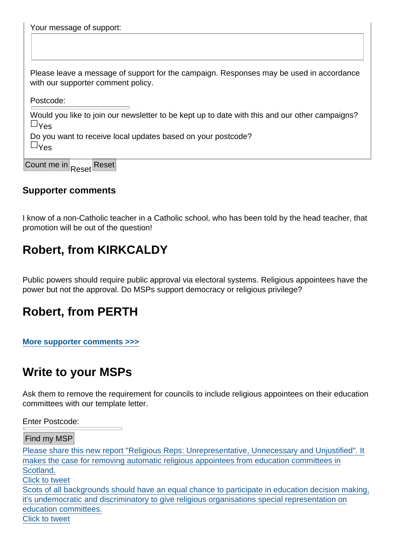[Your message of support:](https://twitter.com/intent/tweet?url=https://www.secularism.org.uk/religiousappointees/&text=Please+share+this+new+report+"Religious+Reps:+Unrepresentative,+Unnecessary+and+Unjustified".+It+makes+the+case+for+removing+automatic+religious+appointees+from+education+committees+in+Scotland.&via=NatSecSoc)

Please leave a message of support for the campaign. Responses may be used in accordance with our supporter comment policy.

Postcode:

Would you like to join our newsletter to be kept up to date with this and our other campaigns? &Yes

Do you want to receive local updates based on your postcode?  $8y_{ex}$ 

Count me in Reset Reset

#### Supporter comments

I know of a non-Catholic teacher in a Catholic school, who has been told by the head teacher, that promotion will be out of the question!

### Robert, from KIRKCALDY

Public powers should require public approval via electoral systems. Religious appointees have the power but not the approval. Do MSPs support democracy or religious privilege?

### Robert, from PERTH

[More supporter comments >>>](https://www.secularism.org.uk/religiousappointees/comments.html)

### Write to your MSPs

Ask them to remove the requirement for councils to include religious appointees on their education committees with our template letter.

Enter Postcode:

Find my MSP

Please share this new report "Religious Reps: Unrepresentative, Unnecessary and Unjustified". It makes the case for removing automatic religious appointees from education committees in Scotland. Click to tweet Scots of all backgrounds should have an equal chance to participate in education decision making, it's undemocratic and discriminatory to give religious organisations special representation on education committees. Click to tweet